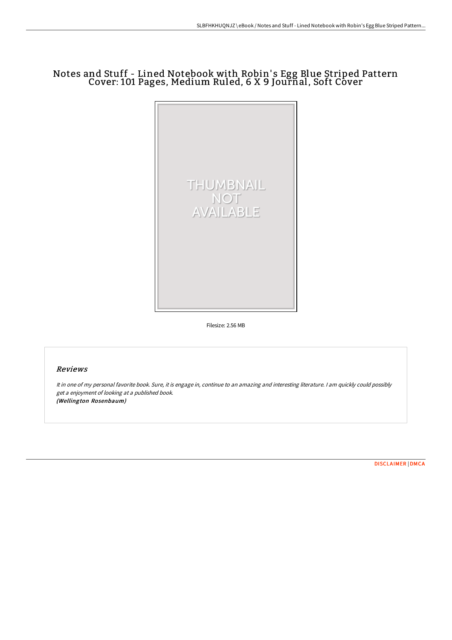## Notes and Stuff - Lined Notebook with Robin' s Egg Blue Striped Pattern Cover: 101 Pages, Medium Ruled, 6 X 9 Journal, Soft Cover



Filesize: 2.56 MB

## Reviews

It in one of my personal favorite book. Sure, it is engage in, continue to an amazing and interesting literature. <sup>I</sup> am quickly could possibly get <sup>a</sup> enjoyment of looking at <sup>a</sup> published book. (Wellington Rosenbaum)

[DISCLAIMER](http://www.bookdirs.com/disclaimer.html) | [DMCA](http://www.bookdirs.com/dmca.html)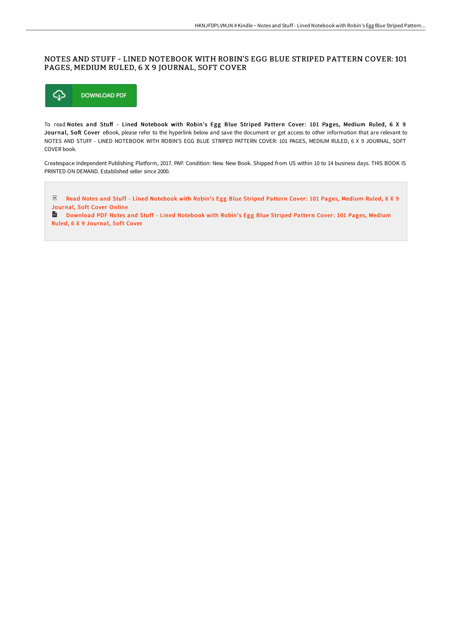## NOTES AND STUFF - LINED NOTEBOOK WITH ROBIN'S EGG BLUE STRIPED PATTERN COVER: 101 PAGES, MEDIUM RULED, 6 X 9 JOURNAL, SOFT COVER



To read Notes and Stuff - Lined Notebook with Robin's Egg Blue Striped Pattern Cover: 101 Pages, Medium Ruled, 6 X 9 Journal, Soft Cover eBook, please refer to the hyperlink below and save the document or get access to other information that are relevant to NOTES AND STUFF - LINED NOTEBOOK WITH ROBIN'S EGG BLUE STRIPED PATTERN COVER: 101 PAGES, MEDIUM RULED, 6 X 9 JOURNAL, SOFT COVER book.

Createspace Independent Publishing Platform, 2017. PAP. Condition: New. New Book. Shipped from US within 10 to 14 business days. THIS BOOK IS PRINTED ON DEMAND. Established seller since 2000.